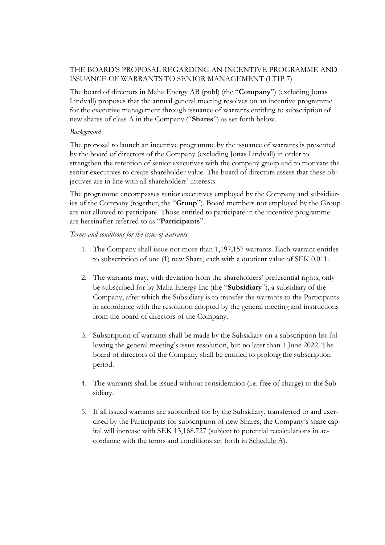# THE BOARD'S PROPOSAL REGARDING AN INCENTIVE PROGRAMME AND ISSUANCE OF WARRANTS TO SENIOR MANAGEMENT (LTIP 7)

The board of directors in Maha Energy AB (publ) (the "**Company**") (excluding Jonas Lindvall) proposes that the annual general meeting resolves on an incentive programme for the executive management through issuance of warrants entitling to subscription of new shares of class A in the Company ("**Shares**") as set forth below.

### *Background*

The proposal to launch an incentive programme by the issuance of warrants is presented by the board of directors of the Company (excluding Jonas Lindvall) in order to strengthen the retention of senior executives with the company group and to motivate the senior executives to create shareholder value. The board of directors assess that these objectives are in line with all shareholders' interests.

The programme encompasses senior executives employed by the Company and subsidiaries of the Company (together, the "**Group**"). Board members not employed by the Group are not allowed to participate. Those entitled to participate in the incentive programme are hereinafter referred to as "**Participants**".

### *Terms and conditions for the issue of warrants*

- 1. The Company shall issue not more than 1,197,157 warrants. Each warrant entitles to subscription of one (1) new Share, each with a quotient value of SEK 0.011.
- 2. The warrants may, with deviation from the shareholders' preferential rights, only be subscribed for by Maha Energy Inc (the "**Subsidiary**"), a subsidiary of the Company, after which the Subsidiary is to transfer the warrants to the Participants in accordance with the resolution adopted by the general meeting and instructions from the board of directors of the Company.
- 3. Subscription of warrants shall be made by the Subsidiary on a subscription list following the general meeting's issue resolution, but no later than 1 June 2022. The board of directors of the Company shall be entitled to prolong the subscription period.
- 4. The warrants shall be issued without consideration (i.e. free of charge) to the Subsidiary.
- 5. If all issued warrants are subscribed for by the Subsidiary, transferred to and exercised by the Participants for subscription of new Shares, the Company's share capital will increase with SEK 13,168.727 (subject to potential recalculations in accordance with the terms and conditions set forth in Schedule A).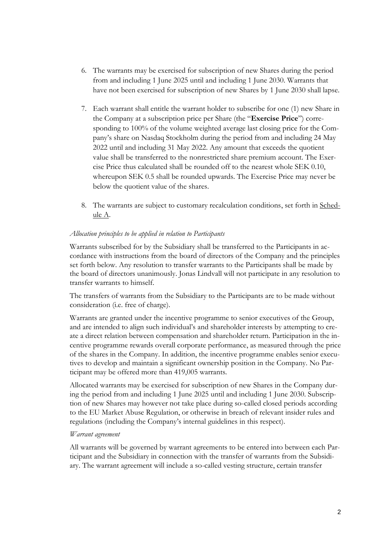- 6. The warrants may be exercised for subscription of new Shares during the period from and including 1 June 2025 until and including 1 June 2030. Warrants that have not been exercised for subscription of new Shares by 1 June 2030 shall lapse.
- 7. Each warrant shall entitle the warrant holder to subscribe for one (1) new Share in the Company at a subscription price per Share (the "**Exercise Price**") corresponding to 100% of the volume weighted average last closing price for the Company's share on Nasdaq Stockholm during the period from and including 24 May 2022 until and including 31 May 2022. Any amount that exceeds the quotient value shall be transferred to the nonrestricted share premium account. The Exercise Price thus calculated shall be rounded off to the nearest whole SEK 0.10, whereupon SEK 0.5 shall be rounded upwards. The Exercise Price may never be below the quotient value of the shares.
- 8. The warrants are subject to customary recalculation conditions, set forth in Schedule A.

### *Allocation principles to be applied in relation to Participants*

Warrants subscribed for by the Subsidiary shall be transferred to the Participants in accordance with instructions from the board of directors of the Company and the principles set forth below. Any resolution to transfer warrants to the Participants shall be made by the board of directors unanimously. Jonas Lindvall will not participate in any resolution to transfer warrants to himself.

The transfers of warrants from the Subsidiary to the Participants are to be made without consideration (i.e. free of charge).

Warrants are granted under the incentive programme to senior executives of the Group, and are intended to align such individual's and shareholder interests by attempting to create a direct relation between compensation and shareholder return. Participation in the incentive programme rewards overall corporate performance, as measured through the price of the shares in the Company. In addition, the incentive programme enables senior executives to develop and maintain a significant ownership position in the Company. No Participant may be offered more than 419,005 warrants.

Allocated warrants may be exercised for subscription of new Shares in the Company during the period from and including 1 June 2025 until and including 1 June 2030. Subscription of new Shares may however not take place during so-called closed periods according to the EU Market Abuse Regulation, or otherwise in breach of relevant insider rules and regulations (including the Company's internal guidelines in this respect).

#### *Warrant agreement*

All warrants will be governed by warrant agreements to be entered into between each Participant and the Subsidiary in connection with the transfer of warrants from the Subsidiary. The warrant agreement will include a so-called vesting structure, certain transfer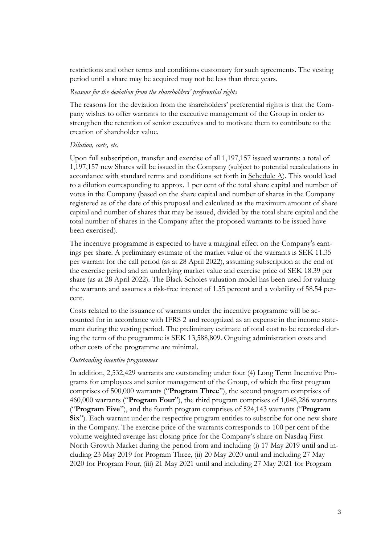restrictions and other terms and conditions customary for such agreements. The vesting period until a share may be acquired may not be less than three years.

#### *Reasons for the deviation from the shareholders' preferential rights*

The reasons for the deviation from the shareholders' preferential rights is that the Company wishes to offer warrants to the executive management of the Group in order to strengthen the retention of senior executives and to motivate them to contribute to the creation of shareholder value.

### *Dilution, costs, etc.*

Upon full subscription, transfer and exercise of all 1,197,157 issued warrants; a total of 1,197,157 new Shares will be issued in the Company (subject to potential recalculations in accordance with standard terms and conditions set forth in Schedule A). This would lead to a dilution corresponding to approx. 1 per cent of the total share capital and number of votes in the Company (based on the share capital and number of shares in the Company registered as of the date of this proposal and calculated as the maximum amount of share capital and number of shares that may be issued, divided by the total share capital and the total number of shares in the Company after the proposed warrants to be issued have been exercised).

The incentive programme is expected to have a marginal effect on the Company's earnings per share. A preliminary estimate of the market value of the warrants is SEK 11.35 per warrant for the call period (as at 28 April 2022), assuming subscription at the end of the exercise period and an underlying market value and exercise price of SEK 18.39 per share (as at 28 April 2022). The Black Scholes valuation model has been used for valuing the warrants and assumes a risk-free interest of 1.55 percent and a volatility of 58.54 percent.

Costs related to the issuance of warrants under the incentive programme will be accounted for in accordance with IFRS 2 and recognized as an expense in the income statement during the vesting period. The preliminary estimate of total cost to be recorded during the term of the programme is SEK 13,588,809. Ongoing administration costs and other costs of the programme are minimal.

#### *Outstanding incentive programmes*

In addition, 2,532,429 warrants are outstanding under four (4) Long Term Incentive Programs for employees and senior management of the Group, of which the first program comprises of 500,000 warrants ("**Program Three**"), the second program comprises of 460,000 warrants ("**Program Four**"), the third program comprises of 1,048,286 warrants ("**Program Five**"), and the fourth program comprises of 524,143 warrants ("**Program Six**"). Each warrant under the respective program entitles to subscribe for one new share in the Company. The exercise price of the warrants corresponds to 100 per cent of the volume weighted average last closing price for the Company's share on Nasdaq First North Growth Market during the period from and including (i) 17 May 2019 until and including 23 May 2019 for Program Three, (ii) 20 May 2020 until and including 27 May 2020 for Program Four, (iii) 21 May 2021 until and including 27 May 2021 for Program